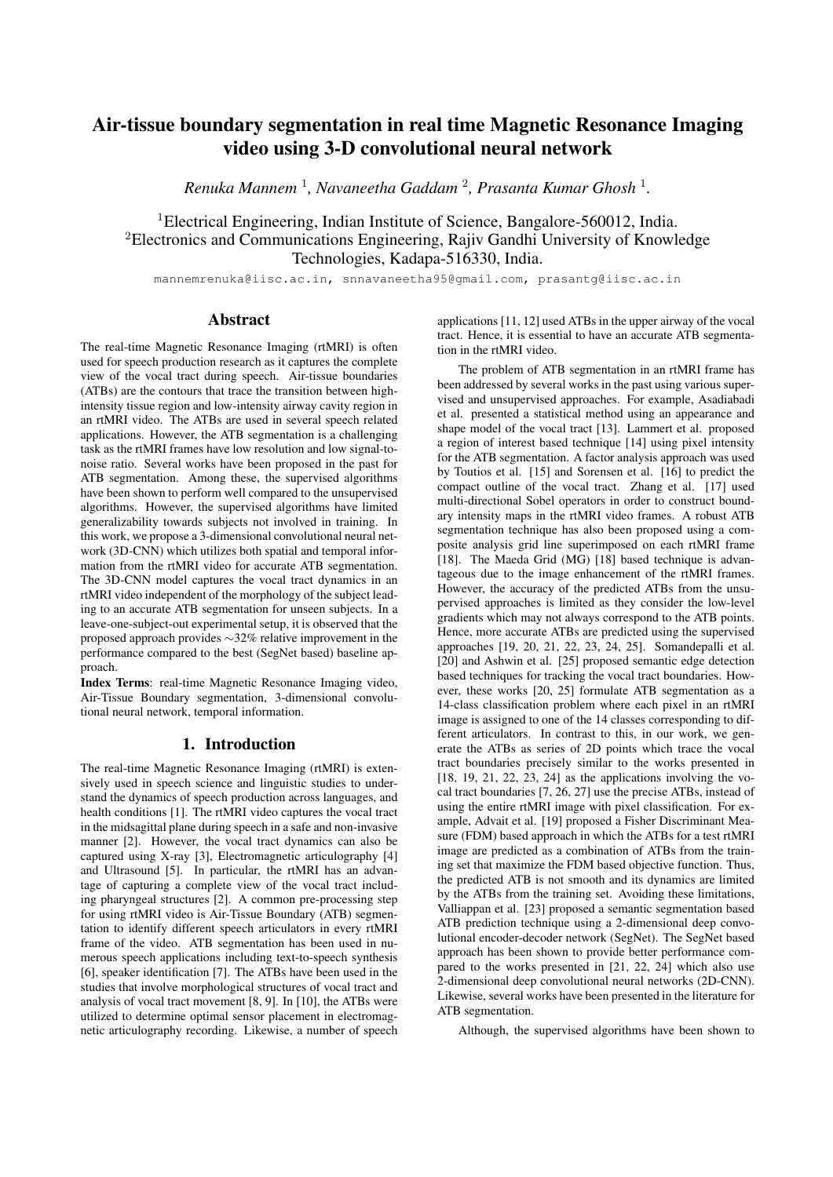# Air-tissue boundary segmentation in real time Magnetic Resonance Imaging video using 3-D convolutional neural network

*Renuka Mannem* <sup>1</sup> *, Navaneetha Gaddam* <sup>2</sup> *, Prasanta Kumar Ghosh* <sup>1</sup> *.*

<sup>1</sup>Electrical Engineering, Indian Institute of Science, Bangalore-560012, India. <sup>2</sup>Electronics and Communications Engineering, Rajiv Gandhi University of Knowledge Technologies, Kadapa-516330, India.

mannemrenuka@iisc.ac.in, snnavaneetha95@gmail.com, prasantg@iisc.ac.in

# Abstract

The real-time Magnetic Resonance Imaging (rtMRI) is often used for speech production research as it captures the complete view of the vocal tract during speech. Air-tissue boundaries (ATBs) are the contours that trace the transition between highintensity tissue region and low-intensity airway cavity region in an rtMRI video. The ATBs are used in several speech related applications. However, the ATB segmentation is a challenging task as the rtMRI frames have low resolution and low signal-tonoise ratio. Several works have been proposed in the past for ATB segmentation. Among these, the supervised algorithms have been shown to perform well compared to the unsupervised algorithms. However, the supervised algorithms have limited generalizability towards subjects not involved in training. In this work, we propose a 3-dimensional convolutional neural network (3D-CNN) which utilizes both spatial and temporal information from the rtMRI video for accurate ATB segmentation. The 3D-CNN model captures the vocal tract dynamics in an rtMRI video independent of the morphology of the subject leading to an accurate ATB segmentation for unseen subjects. In a leave-one-subject-out experimental setup, it is observed that the proposed approach provides ∼32% relative improvement in the performance compared to the best (SegNet based) baseline approach.

Index Terms: real-time Magnetic Resonance Imaging video, Air-Tissue Boundary segmentation, 3-dimensional convolutional neural network, temporal information.

## 1. Introduction

The real-time Magnetic Resonance Imaging (rtMRI) is extensively used in speech science and linguistic studies to understand the dynamics of speech production across languages, and health conditions [1]. The rtMRI video captures the vocal tract in the midsagittal plane during speech in a safe and non-invasive manner [2]. However, the vocal tract dynamics can also be captured using X-ray [3], Electromagnetic articulography [4] and Ultrasound [5]. In particular, the rtMRI has an advantage of capturing a complete view of the vocal tract including pharyngeal structures [2]. A common pre-processing step for using rtMRI video is Air-Tissue Boundary (ATB) segmentation to identify different speech articulators in every rtMRI frame of the video. ATB segmentation has been used in numerous speech applications including text-to-speech synthesis [6], speaker identification [7]. The ATBs have been used in the studies that involve morphological structures of vocal tract and analysis of vocal tract movement [8, 9]. In [10], the ATBs were utilized to determine optimal sensor placement in electromagnetic articulography recording. Likewise, a number of speech applications [11, 12] used ATBs in the upper airway of the vocal tract. Hence, it is essential to have an accurate ATB segmentation in the rtMRI video.

The problem of ATB segmentation in an rtMRI frame has been addressed by several works in the past using various supervised and unsupervised approaches. For example, Asadiabadi et al. presented a statistical method using an appearance and shape model of the vocal tract [13]. Lammert et al. proposed a region of interest based technique [14] using pixel intensity for the ATB segmentation. A factor analysis approach was used by Toutios et al. [15] and Sorensen et al. [16] to predict the compact outline of the vocal tract. Zhang et al. [17] used multi-directional Sobel operators in order to construct boundary intensity maps in the rtMRI video frames. A robust ATB segmentation technique has also been proposed using a composite analysis grid line superimposed on each rtMRI frame [18]. The Maeda Grid (MG) [18] based technique is advantageous due to the image enhancement of the rtMRI frames. However, the accuracy of the predicted ATBs from the unsupervised approaches is limited as they consider the low-level gradients which may not always correspond to the ATB points. Hence, more accurate ATBs are predicted using the supervised approaches [19, 20, 21, 22, 23, 24, 25]. Somandepalli et al. [20] and Ashwin et al. [25] proposed semantic edge detection based techniques for tracking the vocal tract boundaries. However, these works [20, 25] formulate ATB segmentation as a 14-class classification problem where each pixel in an rtMRI image is assigned to one of the 14 classes corresponding to different articulators. In contrast to this, in our work, we generate the ATBs as series of 2D points which trace the vocal tract boundaries precisely similar to the works presented in [18, 19, 21, 22, 23, 24] as the applications involving the vocal tract boundaries [7, 26, 27] use the precise ATBs, instead of using the entire rtMRI image with pixel classification. For example, Advait et al. [19] proposed a Fisher Discriminant Measure (FDM) based approach in which the ATBs for a test rtMRI image are predicted as a combination of ATBs from the training set that maximize the FDM based objective function. Thus, the predicted ATB is not smooth and its dynamics are limited by the ATBs from the training set. Avoiding these limitations, Valliappan et al. [23] proposed a semantic segmentation based ATB prediction technique using a 2-dimensional deep convolutional encoder-decoder network (SegNet). The SegNet based approach has been shown to provide better performance compared to the works presented in [21, 22, 24] which also use 2-dimensional deep convolutional neural networks (2D-CNN). Likewise, several works have been presented in the literature for ATB segmentation.

Although, the supervised algorithms have been shown to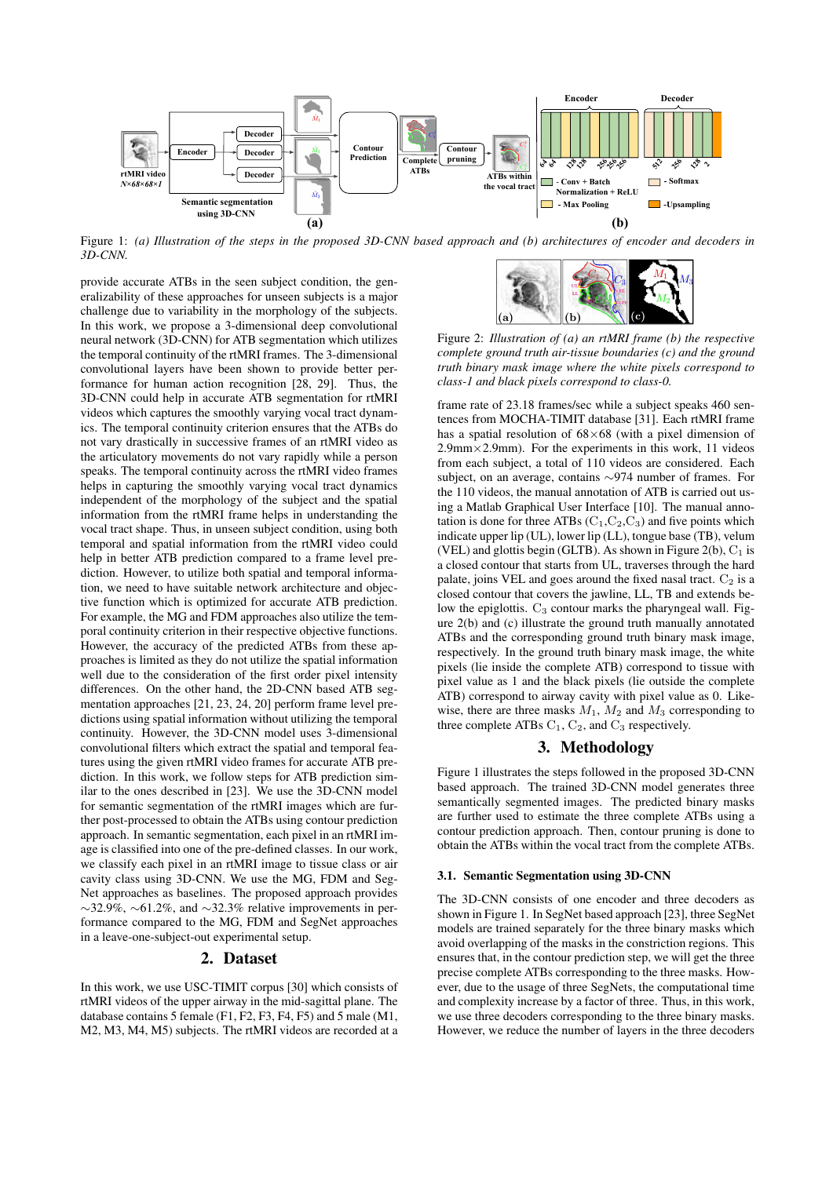

Figure 1: *(a) Illustration of the steps in the proposed 3D-CNN based approach and (b) architectures of encoder and decoders in 3D-CNN.*

provide accurate ATBs in the seen subject condition, the generalizability of these approaches for unseen subjects is a major challenge due to variability in the morphology of the subjects. In this work, we propose a 3-dimensional deep convolutional neural network (3D-CNN) for ATB segmentation which utilizes the temporal continuity of the rtMRI frames. The 3-dimensional convolutional layers have been shown to provide better performance for human action recognition [28, 29]. Thus, the 3D-CNN could help in accurate ATB segmentation for rtMRI videos which captures the smoothly varying vocal tract dynamics. The temporal continuity criterion ensures that the ATBs do not vary drastically in successive frames of an rtMRI video as the articulatory movements do not vary rapidly while a person speaks. The temporal continuity across the rtMRI video frames helps in capturing the smoothly varying vocal tract dynamics independent of the morphology of the subject and the spatial information from the rtMRI frame helps in understanding the vocal tract shape. Thus, in unseen subject condition, using both temporal and spatial information from the rtMRI video could help in better ATB prediction compared to a frame level prediction. However, to utilize both spatial and temporal information, we need to have suitable network architecture and objective function which is optimized for accurate ATB prediction. For example, the MG and FDM approaches also utilize the temporal continuity criterion in their respective objective functions. However, the accuracy of the predicted ATBs from these approaches is limited as they do not utilize the spatial information well due to the consideration of the first order pixel intensity differences. On the other hand, the 2D-CNN based ATB segmentation approaches [21, 23, 24, 20] perform frame level predictions using spatial information without utilizing the temporal continuity. However, the 3D-CNN model uses 3-dimensional convolutional filters which extract the spatial and temporal features using the given rtMRI video frames for accurate ATB prediction. In this work, we follow steps for ATB prediction similar to the ones described in [23]. We use the 3D-CNN model for semantic segmentation of the rtMRI images which are further post-processed to obtain the ATBs using contour prediction approach. In semantic segmentation, each pixel in an rtMRI image is classified into one of the pre-defined classes. In our work, we classify each pixel in an rtMRI image to tissue class or air cavity class using 3D-CNN. We use the MG, FDM and Seg-Net approaches as baselines. The proposed approach provides ∼32.9%, ∼61.2%, and ∼32.3% relative improvements in performance compared to the MG, FDM and SegNet approaches in a leave-one-subject-out experimental setup.

# 2. Dataset

In this work, we use USC-TIMIT corpus [30] which consists of rtMRI videos of the upper airway in the mid-sagittal plane. The database contains 5 female (F1, F2, F3, F4, F5) and 5 male (M1, M2, M3, M4, M5) subjects. The rtMRI videos are recorded at a



Figure 2: *Illustration of (a) an rtMRI frame (b) the respective complete ground truth air-tissue boundaries (c) and the ground truth binary mask image where the white pixels correspond to class-1 and black pixels correspond to class-0.*

frame rate of 23.18 frames/sec while a subject speaks 460 sentences from MOCHA-TIMIT database [31]. Each rtMRI frame has a spatial resolution of  $68\times68$  (with a pixel dimension of  $2.9$ mm $\times$ 2.9mm). For the experiments in this work, 11 videos from each subject, a total of 110 videos are considered. Each subject, on an average, contains ∼974 number of frames. For the 110 videos, the manual annotation of ATB is carried out using a Matlab Graphical User Interface [10]. The manual annotation is done for three ATBs  $(C_1, C_2, C_3)$  and five points which indicate upper lip (UL), lower lip (LL), tongue base (TB), velum (VEL) and glottis begin (GLTB). As shown in Figure 2(b),  $C_1$  is a closed contour that starts from UL, traverses through the hard palate, joins VEL and goes around the fixed nasal tract.  $C_2$  is a closed contour that covers the jawline, LL, TB and extends below the epiglottis.  $C_3$  contour marks the pharyngeal wall. Figure 2(b) and (c) illustrate the ground truth manually annotated ATBs and the corresponding ground truth binary mask image, respectively. In the ground truth binary mask image, the white pixels (lie inside the complete ATB) correspond to tissue with pixel value as 1 and the black pixels (lie outside the complete ATB) correspond to airway cavity with pixel value as 0. Likewise, there are three masks  $M_1$ ,  $M_2$  and  $M_3$  corresponding to three complete ATBs  $C_1$ ,  $C_2$ , and  $C_3$  respectively.

## 3. Methodology

Figure 1 illustrates the steps followed in the proposed 3D-CNN based approach. The trained 3D-CNN model generates three semantically segmented images. The predicted binary masks are further used to estimate the three complete ATBs using a contour prediction approach. Then, contour pruning is done to obtain the ATBs within the vocal tract from the complete ATBs.

#### 3.1. Semantic Segmentation using 3D-CNN

The 3D-CNN consists of one encoder and three decoders as shown in Figure 1. In SegNet based approach [23], three SegNet models are trained separately for the three binary masks which avoid overlapping of the masks in the constriction regions. This ensures that, in the contour prediction step, we will get the three precise complete ATBs corresponding to the three masks. However, due to the usage of three SegNets, the computational time and complexity increase by a factor of three. Thus, in this work, we use three decoders corresponding to the three binary masks. However, we reduce the number of layers in the three decoders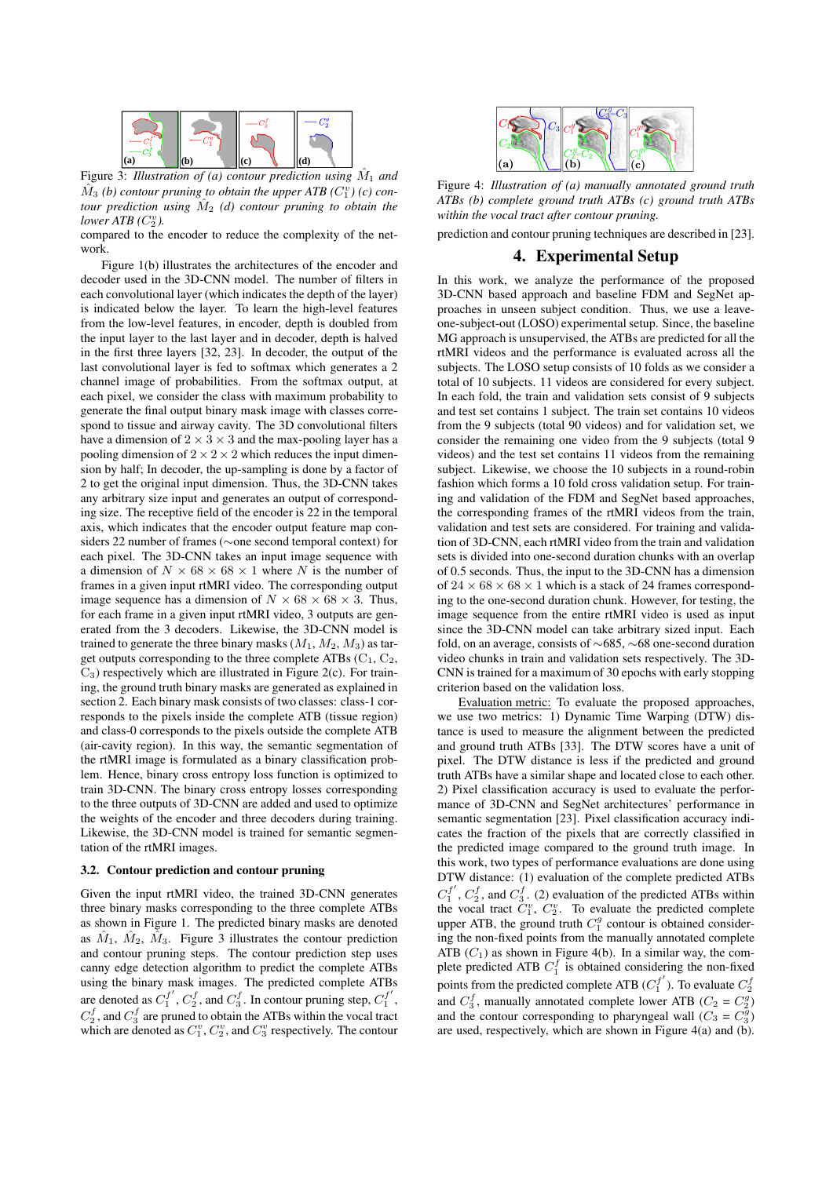

Figure 3: *Illustration of (a) contour prediction using*  $\hat{M}_1$  *and*  $\hat{M}_3$  (b) contour pruning to obtain the upper ATB  $(C_1^v)$  (c) con*tour prediction using*  $\hat{M}_2$  *(d) contour pruning to obtain the*  $lower \, ATB (C_2^v)$ .

compared to the encoder to reduce the complexity of the network.

Figure 1(b) illustrates the architectures of the encoder and decoder used in the 3D-CNN model. The number of filters in each convolutional layer (which indicates the depth of the layer) is indicated below the layer. To learn the high-level features from the low-level features, in encoder, depth is doubled from the input layer to the last layer and in decoder, depth is halved in the first three layers [32, 23]. In decoder, the output of the last convolutional layer is fed to softmax which generates a 2 channel image of probabilities. From the softmax output, at each pixel, we consider the class with maximum probability to generate the final output binary mask image with classes correspond to tissue and airway cavity. The 3D convolutional filters have a dimension of  $2 \times 3 \times 3$  and the max-pooling layer has a pooling dimension of  $2 \times 2 \times 2$  which reduces the input dimension by half; In decoder, the up-sampling is done by a factor of 2 to get the original input dimension. Thus, the 3D-CNN takes any arbitrary size input and generates an output of corresponding size. The receptive field of the encoder is 22 in the temporal axis, which indicates that the encoder output feature map considers 22 number of frames (∼one second temporal context) for each pixel. The 3D-CNN takes an input image sequence with a dimension of  $N \times 68 \times 68 \times 1$  where N is the number of frames in a given input rtMRI video. The corresponding output image sequence has a dimension of  $N \times 68 \times 68 \times 3$ . Thus, for each frame in a given input rtMRI video, 3 outputs are generated from the 3 decoders. Likewise, the 3D-CNN model is trained to generate the three binary masks  $(M_1, M_2, M_3)$  as target outputs corresponding to the three complete ATBs  $(C_1, C_2,$  $C_3$ ) respectively which are illustrated in Figure 2(c). For training, the ground truth binary masks are generated as explained in section 2. Each binary mask consists of two classes: class-1 corresponds to the pixels inside the complete ATB (tissue region) and class-0 corresponds to the pixels outside the complete ATB (air-cavity region). In this way, the semantic segmentation of the rtMRI image is formulated as a binary classification problem. Hence, binary cross entropy loss function is optimized to train 3D-CNN. The binary cross entropy losses corresponding to the three outputs of 3D-CNN are added and used to optimize the weights of the encoder and three decoders during training. Likewise, the 3D-CNN model is trained for semantic segmentation of the rtMRI images.

#### 3.2. Contour prediction and contour pruning

Given the input rtMRI video, the trained 3D-CNN generates three binary masks corresponding to the three complete ATBs as shown in Figure 1. The predicted binary masks are denoted as  $\hat{M}_1$ ,  $\hat{M}_2$ ,  $\hat{M}_3$ . Figure 3 illustrates the contour prediction and contour pruning steps. The contour prediction step uses canny edge detection algorithm to predict the complete ATBs using the binary mask images. The predicted complete ATBs are denoted as  $C_1^{f'}$  $t_1^{f'}$ ,  $C_2^f$ , and  $C_3^f$ . In contour pruning step,  $C_1^{f'}$  $\frac{J}{1}$  ,  $C_2^f$ , and  $C_3^f$  are pruned to obtain the ATBs within the vocal tract which are denoted as  $C_1^v$ ,  $C_2^v$ , and  $C_3^v$  respectively. The contour



Figure 4: *Illustration of (a) manually annotated ground truth ATBs (b) complete ground truth ATBs (c) ground truth ATBs within the vocal tract after contour pruning.*

prediction and contour pruning techniques are described in [23].

#### 4. Experimental Setup

In this work, we analyze the performance of the proposed 3D-CNN based approach and baseline FDM and SegNet approaches in unseen subject condition. Thus, we use a leaveone-subject-out (LOSO) experimental setup. Since, the baseline MG approach is unsupervised, the ATBs are predicted for all the rtMRI videos and the performance is evaluated across all the subjects. The LOSO setup consists of 10 folds as we consider a total of 10 subjects. 11 videos are considered for every subject. In each fold, the train and validation sets consist of 9 subjects and test set contains 1 subject. The train set contains 10 videos from the 9 subjects (total 90 videos) and for validation set, we consider the remaining one video from the 9 subjects (total 9 videos) and the test set contains 11 videos from the remaining subject. Likewise, we choose the 10 subjects in a round-robin fashion which forms a 10 fold cross validation setup. For training and validation of the FDM and SegNet based approaches, the corresponding frames of the rtMRI videos from the train, validation and test sets are considered. For training and validation of 3D-CNN, each rtMRI video from the train and validation sets is divided into one-second duration chunks with an overlap of 0.5 seconds. Thus, the input to the 3D-CNN has a dimension of  $24 \times 68 \times 68 \times 1$  which is a stack of 24 frames corresponding to the one-second duration chunk. However, for testing, the image sequence from the entire rtMRI video is used as input since the 3D-CNN model can take arbitrary sized input. Each fold, on an average, consists of ∼685, ∼68 one-second duration video chunks in train and validation sets respectively. The 3D-CNN is trained for a maximum of 30 epochs with early stopping criterion based on the validation loss.

Evaluation metric: To evaluate the proposed approaches, we use two metrics: 1) Dynamic Time Warping (DTW) distance is used to measure the alignment between the predicted and ground truth ATBs [33]. The DTW scores have a unit of pixel. The DTW distance is less if the predicted and ground truth ATBs have a similar shape and located close to each other. 2) Pixel classification accuracy is used to evaluate the performance of 3D-CNN and SegNet architectures' performance in semantic segmentation [23]. Pixel classification accuracy indicates the fraction of the pixels that are correctly classified in the predicted image compared to the ground truth image. In this work, two types of performance evaluations are done using DTW distance: (1) evaluation of the complete predicted ATBs  $C_1^{f'}$  $L_1^{f'}$ ,  $C_2^f$ , and  $C_3^f$ . (2) evaluation of the predicted ATBs within the vocal tract  $C_1^v$ ,  $C_2^v$ . To evaluate the predicted complete upper ATB, the ground truth  $C_1^g$  contour is obtained considering the non-fixed points from the manually annotated complete ATB  $(C_1)$  as shown in Figure 4(b). In a similar way, the complete predicted ATB  $C_1^f$  is obtained considering the non-fixed points from the predicted complete ATB  $(C_1^{f'}$  $C_1^{f'}$ ). To evaluate  $C_2^f$ and  $C_3^f$ , manually annotated complete lower ATB ( $C_2 = C_2^g$ ) and the contour corresponding to pharyngeal wall  $(C_3 = C_3^{\overline{g}})$ are used, respectively, which are shown in Figure 4(a) and (b).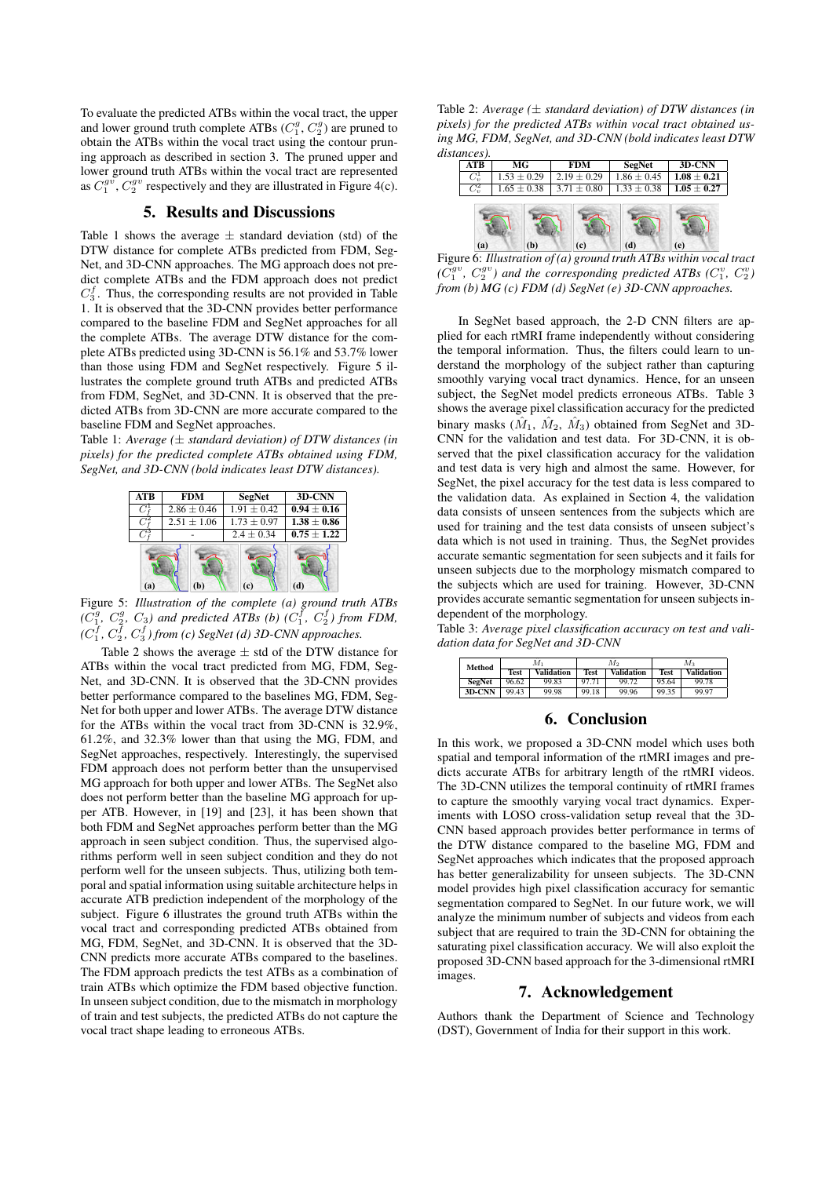To evaluate the predicted ATBs within the vocal tract, the upper and lower ground truth complete ATBs  $(C_1^g, C_2^g)$  are pruned to obtain the ATBs within the vocal tract using the contour pruning approach as described in section 3. The pruned upper and lower ground truth ATBs within the vocal tract are represented as  $C_1^{gv}$ ,  $C_2^{gv}$  respectively and they are illustrated in Figure 4(c).

## 5. Results and Discussions

Table 1 shows the average  $\pm$  standard deviation (std) of the DTW distance for complete ATBs predicted from FDM, Seg-Net, and 3D-CNN approaches. The MG approach does not predict complete ATBs and the FDM approach does not predict  $C_3^f$ . Thus, the corresponding results are not provided in Table 1. It is observed that the 3D-CNN provides better performance compared to the baseline FDM and SegNet approaches for all the complete ATBs. The average DTW distance for the complete ATBs predicted using 3D-CNN is 56.1% and 53.7% lower than those using FDM and SegNet respectively. Figure 5 illustrates the complete ground truth ATBs and predicted ATBs from FDM, SegNet, and 3D-CNN. It is observed that the predicted ATBs from 3D-CNN are more accurate compared to the baseline FDM and SegNet approaches.

Table 1: *Average (*± *standard deviation) of DTW distances (in pixels) for the predicted complete ATBs obtained using FDM, SegNet, and 3D-CNN (bold indicates least DTW distances).*



Figure 5: *Illustration of the complete (a) ground truth ATBs*  $(C_1^g, C_2^g, C_3)$  and predicted ATBs (b)  $(C_1^f, C_2^f)$  from FDM,  $(C_1^f, C_2^f, C_3^f)$  from (c) SegNet (d) 3D-CNN approaches.

**(a) (b) (c) (d) (e)** ATBs within the vocal tract predicted from MG, FDM, Seg-Table 2 shows the average  $\pm$  std of the DTW distance for Net, and 3D-CNN. It is observed that the 3D-CNN provides better performance compared to the baselines MG, FDM, Seg-Net for both upper and lower ATBs. The average DTW distance for the ATBs within the vocal tract from 3D-CNN is 32.9%, 61.2%, and 32.3% lower than that using the MG, FDM, and SegNet approaches, respectively. Interestingly, the supervised FDM approach does not perform better than the unsupervised MG approach for both upper and lower ATBs. The SegNet also does not perform better than the baseline MG approach for upper ATB. However, in [19] and [23], it has been shown that both FDM and SegNet approaches perform better than the MG approach in seen subject condition. Thus, the supervised algorithms perform well in seen subject condition and they do not perform well for the unseen subjects. Thus, utilizing both temporal and spatial information using suitable architecture helps in accurate ATB prediction independent of the morphology of the subject. Figure 6 illustrates the ground truth ATBs within the vocal tract and corresponding predicted ATBs obtained from MG, FDM, SegNet, and 3D-CNN. It is observed that the 3D-CNN predicts more accurate ATBs compared to the baselines. The FDM approach predicts the test ATBs as a combination of train ATBs which optimize the FDM based objective function. In unseen subject condition, due to the mismatch in morphology of train and test subjects, the predicted ATBs do not capture the vocal tract shape leading to erroneous ATBs.

Table 2: Average  $(\pm$  standard deviation) of DTW distances (in *pixels) for the predicted ATBs within vocal tract obtained using MG, FDM, SegNet, and 3D-CNN (bold indicates least DTW distances).*

| <b>ATB</b>         | МG              | <b>FDM</b>      | <b>SegNet</b>          | 3D-CNN          |  |
|--------------------|-----------------|-----------------|------------------------|-----------------|--|
| $C_v^1$            | $1.53 \pm 0.29$ | $2.19 \pm 0.29$ | $\sqrt{1.86 \pm 0.45}$ | $1.08 \pm 0.21$ |  |
| $\overline{C_n^2}$ | $1.65 \pm 0.38$ | $3.71 \pm 0.80$ | $1.33 \pm 0.38$        | $1.05 \pm 0.27$ |  |
| (a)                | (b)             | (c)             | d)                     | e)              |  |

Figure 6: *Illustration of (a) ground truth ATBs within vocal tract*  $(C_1^{gv}, C_2^{gv})$  and the corresponding predicted ATBs  $(C_1^v, C_2^v)$ *from (b) MG (c) FDM (d) SegNet (e) 3D-CNN approaches.*

In SegNet based approach, the 2-D CNN filters are applied for each rtMRI frame independently without considering the temporal information. Thus, the filters could learn to understand the morphology of the subject rather than capturing smoothly varying vocal tract dynamics. Hence, for an unseen subject, the SegNet model predicts erroneous ATBs. Table 3 shows the average pixel classification accuracy for the predicted binary masks  $(\hat{M}_1, \hat{M}_2, \hat{M}_3)$  obtained from SegNet and 3D-CNN for the validation and test data. For 3D-CNN, it is observed that the pixel classification accuracy for the validation and test data is very high and almost the same. However, for SegNet, the pixel accuracy for the test data is less compared to the validation data. As explained in Section 4, the validation data consists of unseen sentences from the subjects which are used for training and the test data consists of unseen subject's data which is not used in training. Thus, the SegNet provides accurate semantic segmentation for seen subjects and it fails for unseen subjects due to the morphology mismatch compared to the subjects which are used for training. However, 3D-CNN provides accurate semantic segmentation for unseen subjects independent of the morphology.

Table 3: *Average pixel classification accuracy on test and validation data for SegNet and 3D-CNN*

| Method        | M1          |                   | M,          |                   | $M_{3}$     |                   |
|---------------|-------------|-------------------|-------------|-------------------|-------------|-------------------|
|               | <b>Test</b> | <b>Validation</b> | <b>Test</b> | <b>Validation</b> | <b>Test</b> | <b>Validation</b> |
| <b>SegNet</b> | 96.62       | 99.83             | 97.71       | 99.72             | 95.64       | 99.78             |
| 3D-CNN        | 99.43       | 99.98             | 99.18       | 99.96             | 99.35       | 99.97             |

## 6. Conclusion

In this work, we proposed a 3D-CNN model which uses both spatial and temporal information of the rtMRI images and predicts accurate ATBs for arbitrary length of the rtMRI videos. The 3D-CNN utilizes the temporal continuity of rtMRI frames to capture the smoothly varying vocal tract dynamics. Experiments with LOSO cross-validation setup reveal that the 3D-CNN based approach provides better performance in terms of the DTW distance compared to the baseline MG, FDM and SegNet approaches which indicates that the proposed approach has better generalizability for unseen subjects. The 3D-CNN model provides high pixel classification accuracy for semantic segmentation compared to SegNet. In our future work, we will analyze the minimum number of subjects and videos from each subject that are required to train the 3D-CNN for obtaining the saturating pixel classification accuracy. We will also exploit the proposed 3D-CNN based approach for the 3-dimensional rtMRI images.

## 7. Acknowledgement

Authors thank the Department of Science and Technology (DST), Government of India for their support in this work.